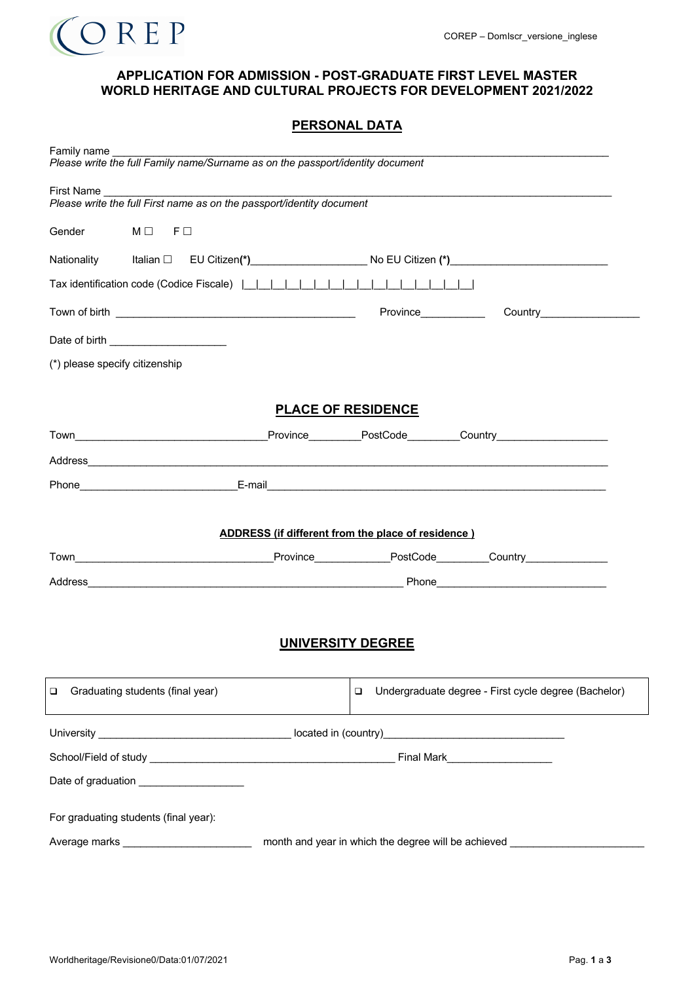

#### **APPLICATION FOR ADMISSION - POST-GRADUATE FIRST LEVEL MASTER WORLD HERITAGE AND CULTURAL PROJECTS FOR DEVELOPMENT 2021/2022**

| Family name<br>Please write the full Family name/Surname as on the passport/identity document       |                                                           |                      |                                                      |  |  |
|-----------------------------------------------------------------------------------------------------|-----------------------------------------------------------|----------------------|------------------------------------------------------|--|--|
|                                                                                                     |                                                           |                      |                                                      |  |  |
| Please write the full First name as on the passport/identity document                               |                                                           |                      |                                                      |  |  |
| Gender<br>$M \Box$ F $\Box$                                                                         |                                                           |                      |                                                      |  |  |
| Nationality Italian □ EU Citizen(*)________________________No EU Citizen (*)_______________________ |                                                           |                      |                                                      |  |  |
|                                                                                                     |                                                           |                      |                                                      |  |  |
|                                                                                                     |                                                           | Province____________ |                                                      |  |  |
|                                                                                                     |                                                           |                      |                                                      |  |  |
| (*) please specify citizenship                                                                      |                                                           |                      |                                                      |  |  |
|                                                                                                     |                                                           |                      |                                                      |  |  |
|                                                                                                     | <b>PLACE OF RESIDENCE</b>                                 |                      |                                                      |  |  |
| Town Town Town Country Province PostCode Country                                                    |                                                           |                      |                                                      |  |  |
|                                                                                                     |                                                           |                      |                                                      |  |  |
|                                                                                                     |                                                           |                      |                                                      |  |  |
|                                                                                                     |                                                           |                      |                                                      |  |  |
|                                                                                                     | <b>ADDRESS</b> (if different from the place of residence) |                      |                                                      |  |  |
|                                                                                                     |                                                           |                      |                                                      |  |  |
|                                                                                                     |                                                           |                      |                                                      |  |  |
|                                                                                                     |                                                           |                      |                                                      |  |  |
|                                                                                                     |                                                           |                      |                                                      |  |  |
| <b>UNIVERSITY DEGREE</b>                                                                            |                                                           |                      |                                                      |  |  |
| Graduating students (final year)<br>❏                                                               |                                                           | $\Box$               | Undergraduate degree - First cycle degree (Bachelor) |  |  |
|                                                                                                     |                                                           |                      |                                                      |  |  |
|                                                                                                     |                                                           |                      |                                                      |  |  |
| Date of graduation _____________________                                                            |                                                           |                      |                                                      |  |  |
| For graduating students (final year):                                                               |                                                           |                      |                                                      |  |  |
| month and year in which the degree will be achieved _                                               |                                                           |                      |                                                      |  |  |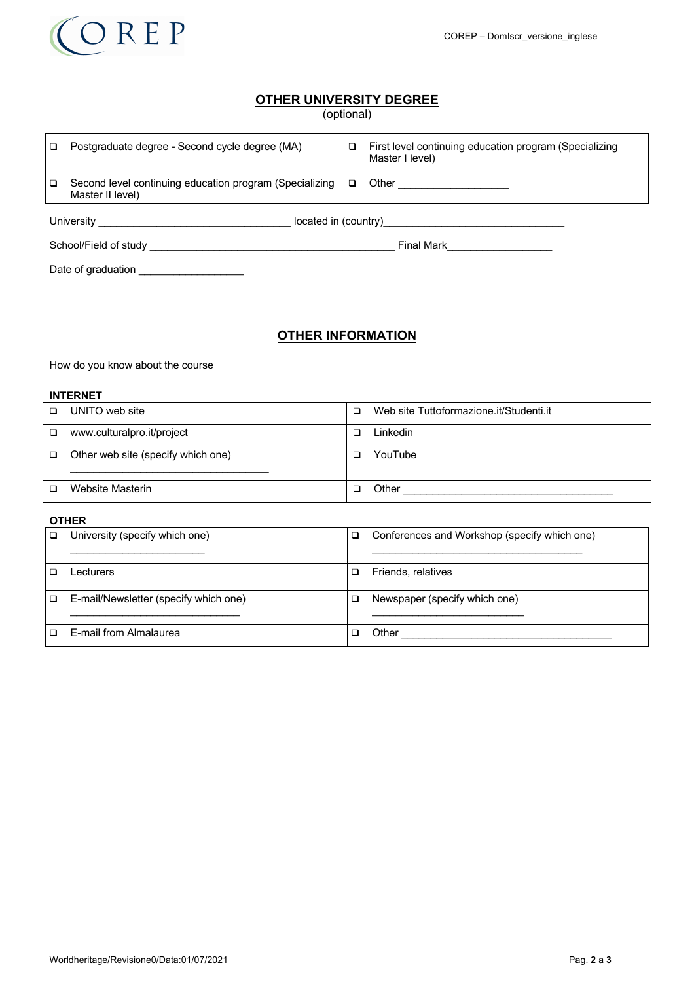

# **OTHER UNIVERSITY DEGREE**

| (optional) |  |
|------------|--|
|            |  |

| $\Box$ | Postgraduate degree - Second cycle degree (MA)                              | □      | First level continuing education program (Specializing<br>Master I level) |
|--------|-----------------------------------------------------------------------------|--------|---------------------------------------------------------------------------|
| $\Box$ | Second level continuing education program (Specializing<br>Master II level) | $\Box$ | Other ____________________                                                |
|        |                                                                             |        |                                                                           |
|        |                                                                             |        | Final Mark <u>_______</u>                                                 |
|        | Date of graduation                                                          |        |                                                                           |

# **OTHER INFORMATION**

How do you know about the course

# **INTERNET**

|        | .                                  |        |                                         |
|--------|------------------------------------|--------|-----------------------------------------|
| $\Box$ | UNITO web site                     | $\Box$ | Web site Tuttoformazione.it/Studenti.it |
| $\Box$ | www.culturalpro.it/project         | □      | Linkedin                                |
| $\Box$ | Other web site (specify which one) | ◻      | YouTube                                 |
|        | Website Masterin                   | ר      | Other                                   |

#### **OTHER**

| University (specify which one)        | ◻ | Conferences and Workshop (specify which one) |
|---------------------------------------|---|----------------------------------------------|
| ∟ecturers                             |   | Friends, relatives                           |
| E-mail/Newsletter (specify which one) |   | Newspaper (specify which one)                |
| E-mail from Almalaurea                |   | Other                                        |